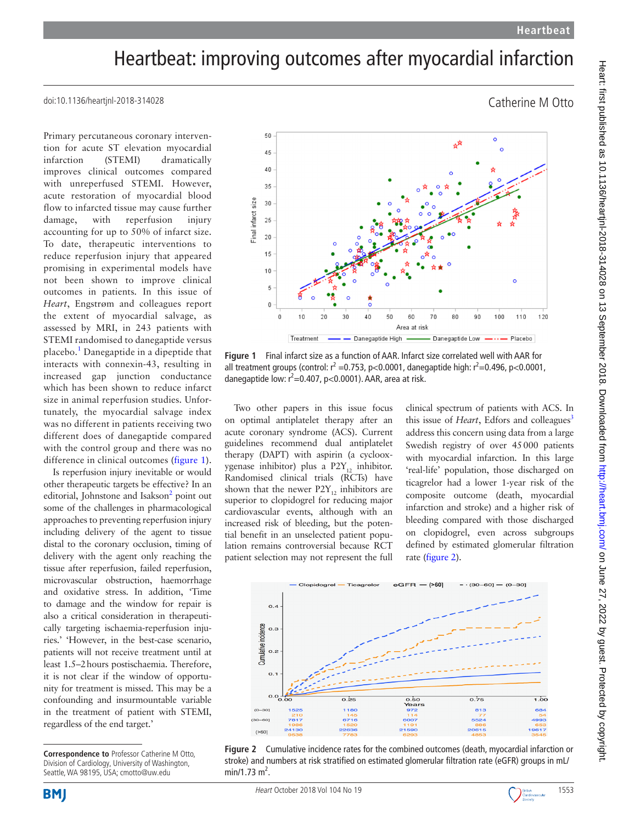Catherine M Otto

## Heartbeat: improving outcomes after myocardial infarction

doi:10.1136/heartjnl-2018-314028

Primary percutaneous coronary intervention for acute ST elevation myocardial infarction (STEMI) dramatically improves clinical outcomes compared with unreperfused STEMI. However, acute restoration of myocardial blood flow to infarcted tissue may cause further damage, with reperfusion injury accounting for up to 50% of infarct size. To date, therapeutic interventions to reduce reperfusion injury that appeared promising in experimental models have not been shown to improve clinical outcomes in patients. In this issue of *Heart*, Engstrøm and colleagues report the extent of myocardial salvage, as assessed by MRI, in 243 patients with STEMI randomised to danegaptide versus placebo.<sup>[1](#page-1-0)</sup> Danegaptide in a dipeptide that interacts with connexin-43, resulting in increased gap junction conductance which has been shown to reduce infarct size in animal reperfusion studies. Unfortunately, the myocardial salvage index was no different in patients receiving two different does of danegaptide compared with the control group and there was no difference in clinical outcomes ([figure](#page-0-0) 1).

Is reperfusion injury inevitable or would other therapeutic targets be effective? In an editorial, Johnstone and Isakson<sup>2</sup> point out some of the challenges in pharmacological approaches to preventing reperfusion injury including delivery of the agent to tissue distal to the coronary occlusion, timing of delivery with the agent only reaching the tissue after reperfusion, failed reperfusion, microvascular obstruction, haemorrhage and oxidative stress. In addition, 'Time to damage and the window for repair is also a critical consideration in therapeutically targeting ischaemia-reperfusion injuries.' 'However, in the best-case scenario, patients will not receive treatment until at least 1.5–2hours postischaemia. Therefore, it is not clear if the window of opportunity for treatment is missed. This may be a confounding and insurmountable variable in the treatment of patient with STEMI, regardless of the end target.'



<span id="page-0-0"></span>**Figure 1** Final infarct size as a function of AAR. Infarct size correlated well with AAR for all treatment groups (control:  $r^2 = 0.753$ , p<0.0001, danegaptide high:  $r^2 = 0.496$ , p<0.0001, danegaptide low:  $r^2$ =0.407, p<0.0001). AAR, area at risk.

Two other papers in this issue focus on optimal antiplatelet therapy after an acute coronary syndrome (ACS). Current guidelines recommend dual antiplatelet therapy (DAPT) with aspirin (a cyclooxygenase inhibitor) plus a  $P2Y_{12}$  inhibitor. Randomised clinical trials (RCTs) have shown that the newer  $P2Y_{12}$  inhibitors are superior to clopidogrel for reducing major cardiovascular events, although with an increased risk of bleeding, but the potential benefit in an unselected patient population remains controversial because RCT patient selection may not represent the full

clinical spectrum of patients with ACS. In this issue of *Heart*, Edfors and colleagues<sup>3</sup> address this concern using data from a large Swedish registry of over 45000 patients with myocardial infarction. In this large 'real-life' population, those discharged on ticagrelor had a lower 1-year risk of the composite outcome (death, myocardial infarction and stroke) and a higher risk of bleeding compared with those discharged on clopidogrel, even across subgroups defined by estimated glomerular filtration rate ([figure](#page-0-1) 2).



<span id="page-0-1"></span>**Figure 2** Cumulative incidence rates for the combined outcomes (death, myocardial infarction or stroke) and numbers at risk stratified on estimated glomerular filtration rate (eGFR) groups in mL/  $min/1.73$  m<sup>2</sup>.



**Correspondence to** Professor Catherine M Otto, Division of Cardiology, University of Washington, Seattle, WA 98195, USA; cmotto@uw.edu